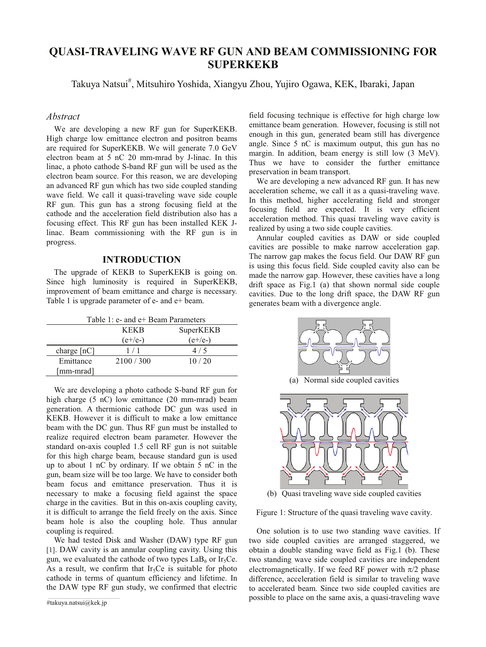# **QUASI-TRAVELING WAVE RF GUN AND BEAM COMMISSIONING FOR SUPERKEKB**

Takuya Natsui# , Mitsuhiro Yoshida, Xiangyu Zhou, Yujiro Ogawa, KEK, Ibaraki, Japan

## *Abstract*

We are developing a new RF gun for SuperKEKB. High charge low emittance electron and positron beams are required for SuperKEKB. We will generate 7.0 GeV electron beam at 5 nC 20 mm-mrad by J-linac. In this linac, a photo cathode S-band RF gun will be used as the electron beam source. For this reason, we are developing an advanced RF gun which has two side coupled standing wave field. We call it quasi-traveling wave side couple RF gun. This gun has a strong focusing field at the cathode and the acceleration field distribution also has a focusing effect. This RF gun has been installed KEK Jlinac. Beam commissioning with the RF gun is in progress.

#### **INTRODUCTION**

The upgrade of KEKB to SuperKEKB is going on. Since high luminosity is required in SuperKEKB, improvement of beam emittance and charge is necessary. Table 1 is upgrade parameter of e- and e+ beam.

| Table 1: e- and e+ Beam Parameters |  |
|------------------------------------|--|
|------------------------------------|--|

|                           | <b>KEKR</b> | SuperKEKB |
|---------------------------|-------------|-----------|
|                           | $(e+/e-)$   | $(e+/e-)$ |
| charge $\lceil nC \rceil$ |             |           |
| Emittance                 | 2100/300    | 10/20     |
| [mm-mrad]                 |             |           |

We are developing a photo cathode S-band RF gun for high charge (5 nC) low emittance (20 mm-mrad) beam generation. A thermionic cathode DC gun was used in KEKB. However it is difficult to make a low emittance beam with the DC gun. Thus RF gun must be installed to realize required electron beam parameter. However the standard on-axis coupled 1.5 cell RF gun is not suitable for this high charge beam, because standard gun is used up to about 1 nC by ordinary. If we obtain 5 nC in the gun, beam size will be too large. We have to consider both beam focus and emittance preservation. Thus it is necessary to make a focusing field against the space charge in the cavities. But in this on-axis coupling cavity, it is difficult to arrange the field freely on the axis. Since beam hole is also the coupling hole. Thus annular coupling is required.

We had tested Disk and Washer (DAW) type RF gun [1]. DAW cavity is an annular coupling cavity. Using this gun, we evaluated the cathode of two types  $LaB<sub>6</sub>$  or Ir<sub>5</sub>Ce. As a result, we confirm that Ir<sub>5</sub>Ce is suitable for photo cathode in terms of quantum efficiency and lifetime. In the DAW type RF gun study, we confirmed that electric

field focusing technique is effective for high charge low emittance beam generation. However, focusing is still not enough in this gun, generated beam still has divergence angle. Since 5 nC is maximum output, this gun has no margin. In addition, beam energy is still low (3 MeV). Thus we have to consider the further emittance preservation in beam transport.

We are developing a new advanced RF gun. It has new acceleration scheme, we call it as a quasi-traveling wave. In this method, higher accelerating field and stronger focusing field are expected. It is very efficient acceleration method. This quasi traveling wave cavity is realized by using a two side couple cavities.

Annular coupled cavities as DAW or side coupled cavities are possible to make narrow acceleration gap. The narrow gap makes the focus field. Our DAW RF gun is using this focus field. Side coupled cavity also can be made the narrow gap. However, these cavities have a long drift space as Fig.1 (a) that shown normal side couple cavities. Due to the long drift space, the DAW RF gun generates beam with a divergence angle.





(b) Quasi traveling wave side coupled cavities

Figure 1: Structure of the quasi traveling wave cavity.

One solution is to use two standing wave cavities. If two side coupled cavities are arranged staggered, we obtain a double standing wave field as Fig.1 (b). These two standing wave side coupled cavities are independent electromagnetically. If we feed RF power with  $\pi/2$  phase difference, acceleration field is similar to traveling wave to accelerated beam. Since two side coupled cavities are possible to place on the same axis, a quasi-traveling wave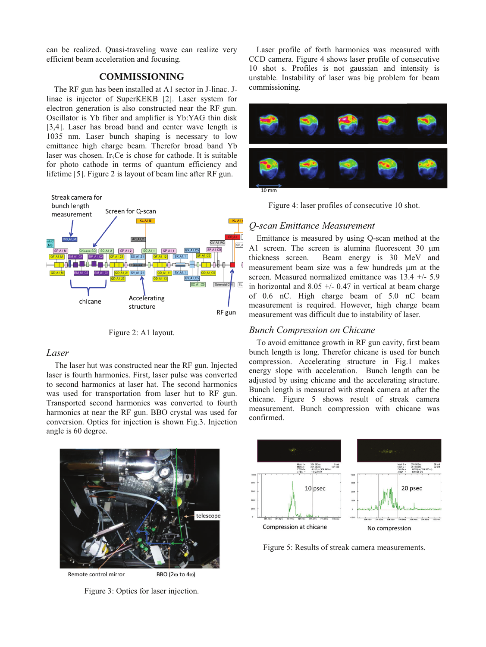can be realized. Quasi-traveling wave can realize very efficient beam acceleration and focusing.

# **COMMISSIONING**

The RF gun has been installed at A1 sector in J-linac. Jlinac is injector of SuperKEKB [2]. Laser system for electron generation is also constructed near the RF gun. Oscillator is Yb fiber and amplifier is Yb:YAG thin disk [3,4]. Laser has broad band and center wave length is 1035 nm. Laser bunch shaping is necessary to low emittance high charge beam. Therefor broad band Yb laser was chosen. Ir<sub>5</sub>Ce is chose for cathode. It is suitable for photo cathode in terms of quantum efficiency and lifetime [5]. Figure 2 is layout of beam line after RF gun.



Figure 2: A1 layout.

## *Laser*

The laser hut was constructed near the RF gun. Injected laser is fourth harmonics. First, laser pulse was converted to second harmonics at laser hat. The second harmonics was used for transportation from laser hut to RF gun. Transported second harmonics was converted to fourth harmonics at near the RF gun. BBO crystal was used for conversion. Optics for injection is shown Fig.3. Injection angle is 60 degree.

telescope

Remote control mirror

BBO (2 $\omega$  to 4 $\omega$ )

Figure 3: Optics for laser injection.

Laser profile of forth harmonics was measured with CCD camera. Figure 4 shows laser profile of consecutive 10 shot s. Profiles is not gaussian and intensity is unstable. Instability of laser was big problem for beam commissioning.





## *Q-scan Emittance Measurement*

Emittance is measured by using Q-scan method at the A1 screen. The screen is alumina fluorescent  $30 \mu m$ thickness screen. Beam energy is 30 MeV and measurement beam size was a few hundreds um at the screen. Measured normalized emittance was 13.4 +/- 5.9 in horizontal and  $8.05 +/- 0.47$  in vertical at beam charge of 0.6 nC. High charge beam of 5.0 nC beam measurement is required. However, high charge beam measurement was difficult due to instability of laser.

## *Bunch Compression on Chicane*

To avoid emittance growth in RF gun cavity, first beam bunch length is long. Therefor chicane is used for bunch compression. Accelerating structure in Fig.1 makes energy slope with acceleration. Bunch length can be adjusted by using chicane and the accelerating structure. Bunch length is measured with streak camera at after the chicane. Figure 5 shows result of streak camera measurement. Bunch compression with chicane was confirmed.



Figure 5: Results of streak camera measurements.